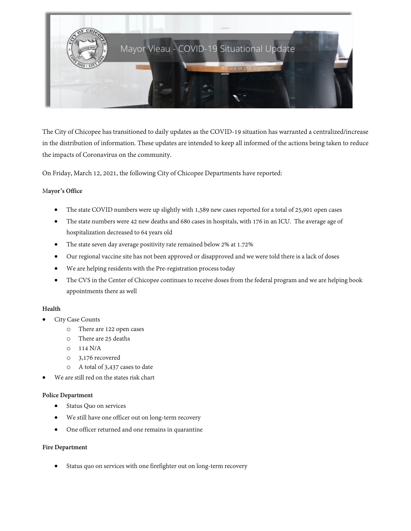

The City of Chicopee has transitioned to daily updates as the COVID-19 situation has warranted a centralized/increase in the distribution of information. These updates are intended to keep all informed of the actions being taken to reduce the impacts of Coronavirus on the community.

On Friday, March 12, 2021, the following City of Chicopee Departments have reported:

### M**ayor's Office**

- The state COVID numbers were up slightly with 1,589 new cases reported for a total of 25,901 open cases
- The state numbers were 42 new deaths and 680 cases in hospitals, with 176 in an ICU. The average age of hospitalization decreased to 64 years old
- The state seven day average positivity rate remained below 2% at 1.72%
- Our regional vaccine site has not been approved or disapproved and we were told there is a lack of doses
- We are helping residents with the Pre-registration process today
- The CVS in the Center of Chicopee continues to receive doses from the federal program and we are helping book appointments there as well

# **Health**

- City Case Counts
	- o There are 122 open cases
	- o There are 25 deaths
	- $O$  114 N/A
	- o 3,176 recovered
	- o A total of 3,437 cases to date
- We are still red on the states risk chart

### **Police Department**

- Status Quo on services
- We still have one officer out on long-term recovery
- One officer returned and one remains in quarantine

### **Fire Department**

Status quo on services with one firefighter out on long-term recovery